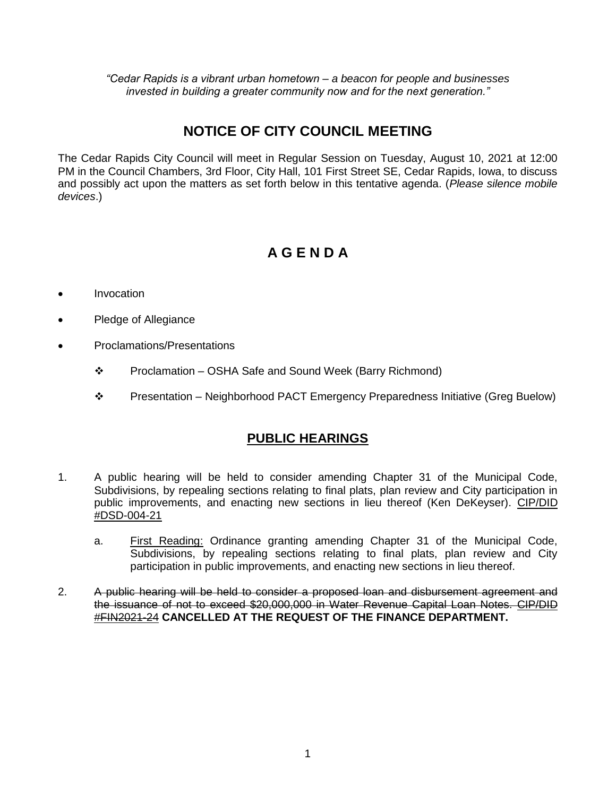*"Cedar Rapids is a vibrant urban hometown – a beacon for people and businesses invested in building a greater community now and for the next generation."*

## **NOTICE OF CITY COUNCIL MEETING**

The Cedar Rapids City Council will meet in Regular Session on Tuesday, August 10, 2021 at 12:00 PM in the Council Chambers, 3rd Floor, City Hall, 101 First Street SE, Cedar Rapids, Iowa, to discuss and possibly act upon the matters as set forth below in this tentative agenda. (*Please silence mobile devices*.)

# **A G E N D A**

- Invocation
- Pledge of Allegiance
- Proclamations/Presentations
	- Proclamation OSHA Safe and Sound Week (Barry Richmond)
	- Presentation Neighborhood PACT Emergency Preparedness Initiative (Greg Buelow)

#### **PUBLIC HEARINGS**

- 1. A public hearing will be held to consider amending Chapter 31 of the Municipal Code, Subdivisions, by repealing sections relating to final plats, plan review and City participation in public improvements, and enacting new sections in lieu thereof (Ken DeKeyser). CIP/DID #DSD-004-21
	- a. First Reading: Ordinance granting amending Chapter 31 of the Municipal Code, Subdivisions, by repealing sections relating to final plats, plan review and City participation in public improvements, and enacting new sections in lieu thereof.
- 2. A public hearing will be held to consider a proposed loan and disbursement agreement and the issuance of not to exceed \$20,000,000 in Water Revenue Capital Loan Notes. CIP/DID #FIN2021-24 **CANCELLED AT THE REQUEST OF THE FINANCE DEPARTMENT.**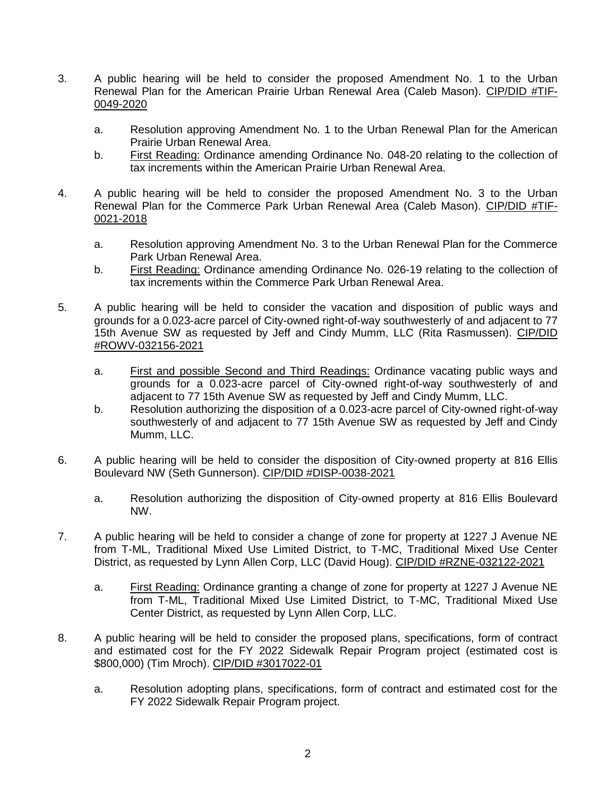- 3. A public hearing will be held to consider the proposed Amendment No. 1 to the Urban Renewal Plan for the American Prairie Urban Renewal Area (Caleb Mason). CIP/DID #TIF-0049-2020
	- a. Resolution approving Amendment No. 1 to the Urban Renewal Plan for the American Prairie Urban Renewal Area.
	- b. First Reading: Ordinance amending Ordinance No. 048-20 relating to the collection of tax increments within the American Prairie Urban Renewal Area.
- 4. A public hearing will be held to consider the proposed Amendment No. 3 to the Urban Renewal Plan for the Commerce Park Urban Renewal Area (Caleb Mason). CIP/DID #TIF-0021-2018
	- a. Resolution approving Amendment No. 3 to the Urban Renewal Plan for the Commerce Park Urban Renewal Area.
	- b. First Reading: Ordinance amending Ordinance No. 026-19 relating to the collection of tax increments within the Commerce Park Urban Renewal Area.
- 5. A public hearing will be held to consider the vacation and disposition of public ways and grounds for a 0.023-acre parcel of City-owned right-of-way southwesterly of and adjacent to 77 15th Avenue SW as requested by Jeff and Cindy Mumm, LLC (Rita Rasmussen). CIP/DID #ROWV-032156-2021
	- a. First and possible Second and Third Readings: Ordinance vacating public ways and grounds for a 0.023-acre parcel of City-owned right-of-way southwesterly of and adjacent to 77 15th Avenue SW as requested by Jeff and Cindy Mumm, LLC.
	- b. Resolution authorizing the disposition of a 0.023-acre parcel of City-owned right-of-way southwesterly of and adjacent to 77 15th Avenue SW as requested by Jeff and Cindy Mumm, LLC.
- 6. A public hearing will be held to consider the disposition of City-owned property at 816 Ellis Boulevard NW (Seth Gunnerson). CIP/DID #DISP-0038-2021
	- a. Resolution authorizing the disposition of City-owned property at 816 Ellis Boulevard NW.
- 7. A public hearing will be held to consider a change of zone for property at 1227 J Avenue NE from T-ML, Traditional Mixed Use Limited District, to T-MC, Traditional Mixed Use Center District, as requested by Lynn Allen Corp, LLC (David Houg). CIP/DID #RZNE-032122-2021
	- a. First Reading: Ordinance granting a change of zone for property at 1227 J Avenue NE from T-ML, Traditional Mixed Use Limited District, to T-MC, Traditional Mixed Use Center District, as requested by Lynn Allen Corp, LLC.
- 8. A public hearing will be held to consider the proposed plans, specifications, form of contract and estimated cost for the FY 2022 Sidewalk Repair Program project (estimated cost is \$800,000) (Tim Mroch). CIP/DID #3017022-01
	- a. Resolution adopting plans, specifications, form of contract and estimated cost for the FY 2022 Sidewalk Repair Program project.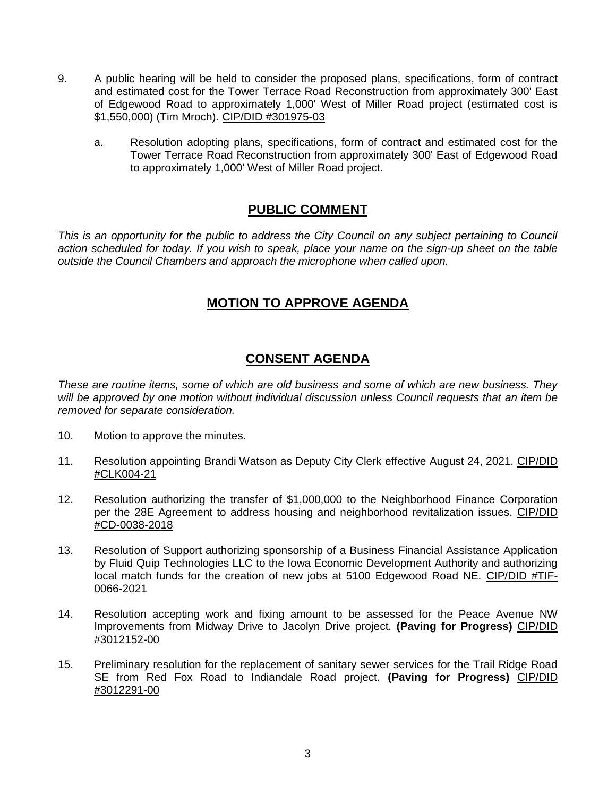- 9. A public hearing will be held to consider the proposed plans, specifications, form of contract and estimated cost for the Tower Terrace Road Reconstruction from approximately 300' East of Edgewood Road to approximately 1,000' West of Miller Road project (estimated cost is \$1,550,000) (Tim Mroch). CIP/DID #301975-03
	- a. Resolution adopting plans, specifications, form of contract and estimated cost for the Tower Terrace Road Reconstruction from approximately 300' East of Edgewood Road to approximately 1,000' West of Miller Road project.

## **PUBLIC COMMENT**

*This is an opportunity for the public to address the City Council on any subject pertaining to Council action scheduled for today. If you wish to speak, place your name on the sign-up sheet on the table outside the Council Chambers and approach the microphone when called upon.*

#### **MOTION TO APPROVE AGENDA**

#### **CONSENT AGENDA**

*These are routine items, some of which are old business and some of which are new business. They will be approved by one motion without individual discussion unless Council requests that an item be removed for separate consideration.*

- 10. Motion to approve the minutes.
- 11. Resolution appointing Brandi Watson as Deputy City Clerk effective August 24, 2021. CIP/DID #CLK004-21
- 12. Resolution authorizing the transfer of \$1,000,000 to the Neighborhood Finance Corporation per the 28E Agreement to address housing and neighborhood revitalization issues. CIP/DID #CD-0038-2018
- 13. Resolution of Support authorizing sponsorship of a Business Financial Assistance Application by Fluid Quip Technologies LLC to the Iowa Economic Development Authority and authorizing local match funds for the creation of new jobs at 5100 Edgewood Road NE. CIP/DID #TIF-0066-2021
- 14. Resolution accepting work and fixing amount to be assessed for the Peace Avenue NW Improvements from Midway Drive to Jacolyn Drive project. **(Paving for Progress)** CIP/DID #3012152-00
- 15. Preliminary resolution for the replacement of sanitary sewer services for the Trail Ridge Road SE from Red Fox Road to Indiandale Road project. **(Paving for Progress)** CIP/DID #3012291-00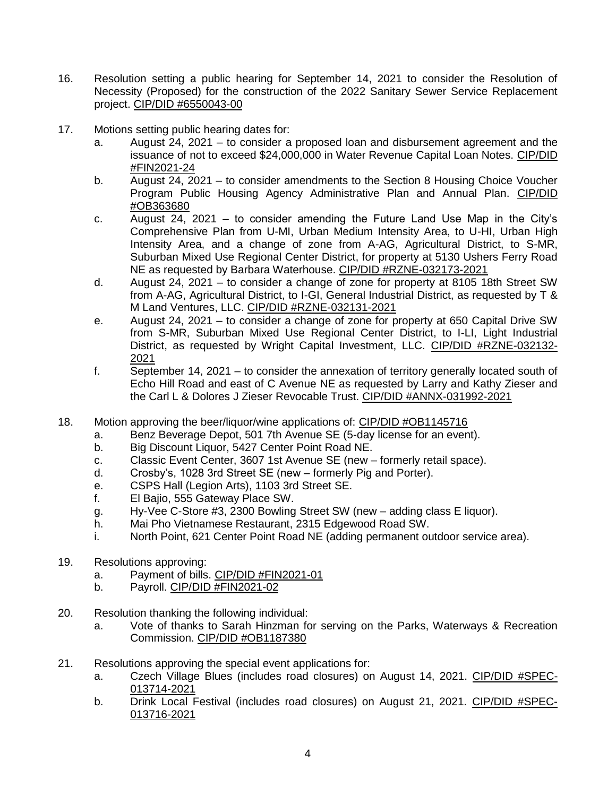- 16. Resolution setting a public hearing for September 14, 2021 to consider the Resolution of Necessity (Proposed) for the construction of the 2022 Sanitary Sewer Service Replacement project. CIP/DID #6550043-00
- 17. Motions setting public hearing dates for:
	- a. August 24, 2021 to consider a proposed loan and disbursement agreement and the issuance of not to exceed \$24,000,000 in Water Revenue Capital Loan Notes. CIP/DID #FIN2021-24
	- b. August 24, 2021 to consider amendments to the Section 8 Housing Choice Voucher Program Public Housing Agency Administrative Plan and Annual Plan. CIP/DID #OB363680
	- c. August 24, 2021 to consider amending the Future Land Use Map in the City's Comprehensive Plan from U-MI, Urban Medium Intensity Area, to U-HI, Urban High Intensity Area, and a change of zone from A-AG, Agricultural District, to S-MR, Suburban Mixed Use Regional Center District, for property at 5130 Ushers Ferry Road NE as requested by Barbara Waterhouse. CIP/DID #RZNE-032173-2021
	- d. August 24, 2021 to consider a change of zone for property at 8105 18th Street SW from A-AG, Agricultural District, to I-GI, General Industrial District, as requested by T & M Land Ventures, LLC. CIP/DID #RZNE-032131-2021
	- e. August 24, 2021 to consider a change of zone for property at 650 Capital Drive SW from S-MR, Suburban Mixed Use Regional Center District, to I-LI, Light Industrial District, as requested by Wright Capital Investment, LLC. CIP/DID #RZNE-032132- 2021
	- f. September 14, 2021 to consider the annexation of territory generally located south of Echo Hill Road and east of C Avenue NE as requested by Larry and Kathy Zieser and the Carl L & Dolores J Zieser Revocable Trust. CIP/DID #ANNX-031992-2021
- 18. Motion approving the beer/liquor/wine applications of: CIP/DID #OB1145716
	- a. Benz Beverage Depot, 501 7th Avenue SE (5-day license for an event).
	- b. Big Discount Liquor, 5427 Center Point Road NE.
	- c. Classic Event Center, 3607 1st Avenue SE (new formerly retail space).
	- d. Crosby's, 1028 3rd Street SE (new formerly Pig and Porter).
	- e. CSPS Hall (Legion Arts), 1103 3rd Street SE.<br>f. El Bajio, 555 Gateway Place SW.
	- El Bajio, 555 Gateway Place SW.
	- g. Hy-Vee C-Store #3, 2300 Bowling Street SW (new adding class E liquor).
	- h. Mai Pho Vietnamese Restaurant, 2315 Edgewood Road SW.
	- i. North Point, 621 Center Point Road NE (adding permanent outdoor service area).
- 19. Resolutions approving:
	- a. Payment of bills. CIP/DID #FIN2021-01
	- b. Payroll. CIP/DID #FIN2021-02
- 20. Resolution thanking the following individual:
	- a. Vote of thanks to Sarah Hinzman for serving on the Parks, Waterways & Recreation Commission. CIP/DID #OB1187380
- 21. Resolutions approving the special event applications for:
	- a. Czech Village Blues (includes road closures) on August 14, 2021. CIP/DID #SPEC-013714-2021
	- b. Drink Local Festival (includes road closures) on August 21, 2021. CIP/DID #SPEC-013716-2021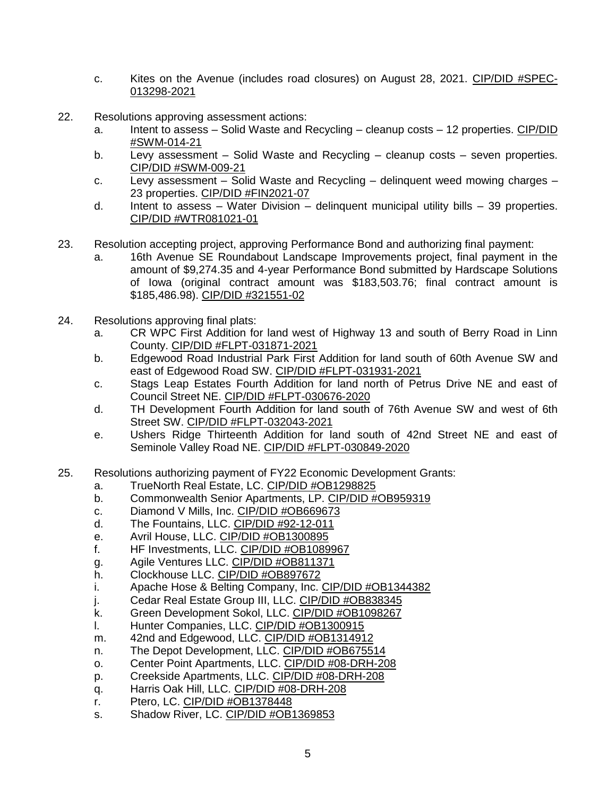- c. Kites on the Avenue (includes road closures) on August 28, 2021. CIP/DID #SPEC-013298-2021
- 22. Resolutions approving assessment actions:
	- a. Intent to assess Solid Waste and Recycling cleanup costs 12 properties. CIP/DID #SWM-014-21
	- b. Levy assessment Solid Waste and Recycling cleanup costs seven properties. CIP/DID #SWM-009-21
	- c. Levy assessment Solid Waste and Recycling delinquent weed mowing charges 23 properties. CIP/DID #FIN2021-07
	- d. Intent to assess Water Division delinguent municipal utility bills 39 properties. CIP/DID #WTR081021-01
- 23. Resolution accepting project, approving Performance Bond and authorizing final payment:
	- a. 16th Avenue SE Roundabout Landscape Improvements project, final payment in the amount of \$9,274.35 and 4-year Performance Bond submitted by Hardscape Solutions of Iowa (original contract amount was \$183,503.76; final contract amount is \$185,486.98). CIP/DID #321551-02
- 24. Resolutions approving final plats:
	- a. CR WPC First Addition for land west of Highway 13 and south of Berry Road in Linn County. CIP/DID #FLPT-031871-2021
	- b. Edgewood Road Industrial Park First Addition for land south of 60th Avenue SW and east of Edgewood Road SW. CIP/DID #FLPT-031931-2021
	- c. Stags Leap Estates Fourth Addition for land north of Petrus Drive NE and east of Council Street NE. CIP/DID #FLPT-030676-2020
	- d. TH Development Fourth Addition for land south of 76th Avenue SW and west of 6th Street SW. CIP/DID #FLPT-032043-2021
	- e. Ushers Ridge Thirteenth Addition for land south of 42nd Street NE and east of Seminole Valley Road NE. CIP/DID #FLPT-030849-2020
- 25. Resolutions authorizing payment of FY22 Economic Development Grants:
	- a. TrueNorth Real Estate, LC. CIP/DID #OB1298825
	- b. Commonwealth Senior Apartments, LP. CIP/DID #OB959319
	- c. Diamond V Mills, Inc. CIP/DID #OB669673
	- d. The Fountains, LLC. CIP/DID #92-12-011
	- e. Avril House, LLC. CIP/DID #OB1300895
	- f. HF Investments, LLC. CIP/DID #OB1089967
	- g. Agile Ventures LLC. CIP/DID #OB811371
	- h. Clockhouse LLC. CIP/DID #OB897672
	- i. Apache Hose & Belting Company, Inc. CIP/DID #OB1344382
	- j. Cedar Real Estate Group III, LLC. CIP/DID #OB838345
	- k. Green Development Sokol, LLC. CIP/DID #OB1098267
	- l. Hunter Companies, LLC. CIP/DID #OB1300915
	- m. 42nd and Edgewood, LLC. CIP/DID #OB1314912
	- n. The Depot Development, LLC. CIP/DID #OB675514
	- o. Center Point Apartments, LLC. CIP/DID #08-DRH-208
	- p. Creekside Apartments, LLC. CIP/DID #08-DRH-208
	- q. Harris Oak Hill, LLC. CIP/DID #08-DRH-208
	- r. Ptero, LC. CIP/DID #OB1378448
	- s. Shadow River, LC. CIP/DID #OB1369853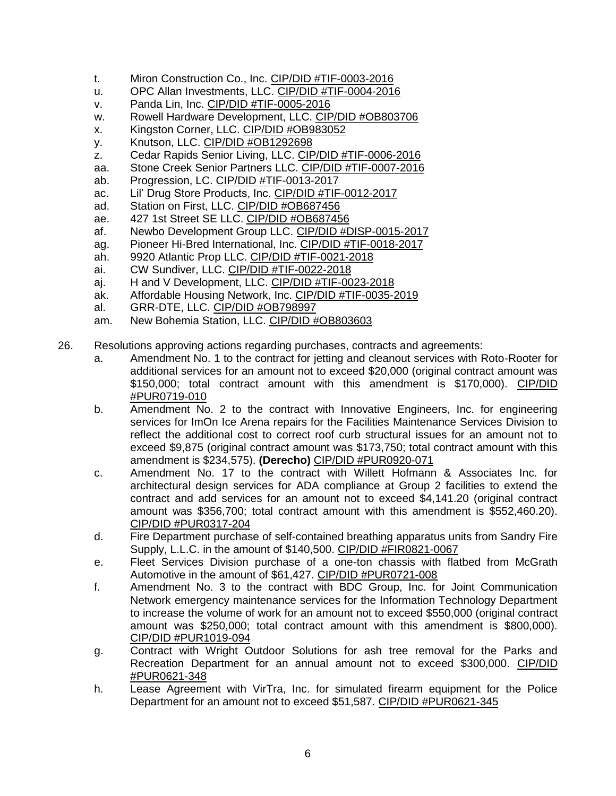- t. Miron Construction Co., Inc. CIP/DID #TIF-0003-2016
- u. OPC Allan Investments, LLC. CIP/DID #TIF-0004-2016
- v. Panda Lin, Inc. CIP/DID #TIF-0005-2016
- w. Rowell Hardware Development, LLC. CIP/DID #OB803706
- x. Kingston Corner, LLC. CIP/DID #OB983052
- y. Knutson, LLC. CIP/DID #OB1292698
- z. Cedar Rapids Senior Living, LLC. CIP/DID #TIF-0006-2016
- aa. Stone Creek Senior Partners LLC. CIP/DID #TIF-0007-2016
- ab. Progression, LC. CIP/DID #TIF-0013-2017
- ac. Lil' Drug Store Products, Inc. CIP/DID #TIF-0012-2017
- ad. Station on First, LLC. CIP/DID #OB687456
- ae. 427 1st Street SE LLC. CIP/DID #OB687456
- af. Newbo Development Group LLC. CIP/DID #DISP-0015-2017
- ag. Pioneer Hi-Bred International, Inc. CIP/DID #TIF-0018-2017
- ah. 9920 Atlantic Prop LLC. CIP/DID #TIF-0021-2018
- ai. CW Sundiver, LLC. CIP/DID #TIF-0022-2018
- aj. H and V Development, LLC. CIP/DID #TIF-0023-2018
- ak. Affordable Housing Network, Inc. CIP/DID #TIF-0035-2019
- al. GRR-DTE, LLC. CIP/DID #OB798997
- am. New Bohemia Station, LLC. CIP/DID #OB803603
- 26. Resolutions approving actions regarding purchases, contracts and agreements:
	- a. Amendment No. 1 to the contract for jetting and cleanout services with Roto-Rooter for additional services for an amount not to exceed \$20,000 (original contract amount was \$150,000; total contract amount with this amendment is \$170,000). CIP/DID #PUR0719-010
	- b. Amendment No. 2 to the contract with Innovative Engineers, Inc. for engineering services for ImOn Ice Arena repairs for the Facilities Maintenance Services Division to reflect the additional cost to correct roof curb structural issues for an amount not to exceed \$9,875 (original contract amount was \$173,750; total contract amount with this amendment is \$234,575). **(Derecho)** CIP/DID #PUR0920-071
	- c. Amendment No. 17 to the contract with Willett Hofmann & Associates Inc. for architectural design services for ADA compliance at Group 2 facilities to extend the contract and add services for an amount not to exceed \$4,141.20 (original contract amount was \$356,700; total contract amount with this amendment is \$552,460.20). CIP/DID #PUR0317-204
	- d. Fire Department purchase of self-contained breathing apparatus units from Sandry Fire Supply, L.L.C. in the amount of \$140,500. CIP/DID #FIR0821-0067
	- e. Fleet Services Division purchase of a one-ton chassis with flatbed from McGrath Automotive in the amount of \$61,427. CIP/DID #PUR0721-008
	- f. Amendment No. 3 to the contract with BDC Group, Inc. for Joint Communication Network emergency maintenance services for the Information Technology Department to increase the volume of work for an amount not to exceed \$550,000 (original contract amount was \$250,000; total contract amount with this amendment is \$800,000). CIP/DID #PUR1019-094
	- g. Contract with Wright Outdoor Solutions for ash tree removal for the Parks and Recreation Department for an annual amount not to exceed \$300,000. CIP/DID #PUR0621-348
	- h. Lease Agreement with VirTra, Inc. for simulated firearm equipment for the Police Department for an amount not to exceed \$51,587. CIP/DID #PUR0621-345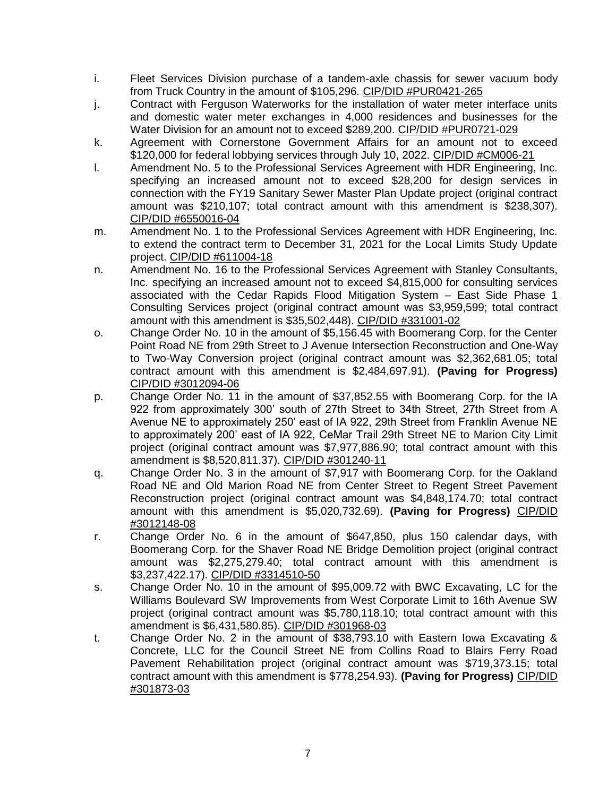- i. Fleet Services Division purchase of a tandem-axle chassis for sewer vacuum body from Truck Country in the amount of \$105,296. CIP/DID #PUR0421-265
- j. Contract with Ferguson Waterworks for the installation of water meter interface units and domestic water meter exchanges in 4,000 residences and businesses for the Water Division for an amount not to exceed \$289,200. CIP/DID #PUR0721-029
- k. Agreement with Cornerstone Government Affairs for an amount not to exceed \$120,000 for federal lobbying services through July 10, 2022. CIP/DID #CM006-21
- l. Amendment No. 5 to the Professional Services Agreement with HDR Engineering, Inc. specifying an increased amount not to exceed \$28,200 for design services in connection with the FY19 Sanitary Sewer Master Plan Update project (original contract amount was \$210,107; total contract amount with this amendment is \$238,307). CIP/DID #6550016-04
- m. Amendment No. 1 to the Professional Services Agreement with HDR Engineering, Inc. to extend the contract term to December 31, 2021 for the Local Limits Study Update project. CIP/DID #611004-18
- n. Amendment No. 16 to the Professional Services Agreement with Stanley Consultants, Inc. specifying an increased amount not to exceed \$4,815,000 for consulting services associated with the Cedar Rapids Flood Mitigation System – East Side Phase 1 Consulting Services project (original contract amount was \$3,959,599; total contract amount with this amendment is \$35,502,448). CIP/DID #331001-02
- o. Change Order No. 10 in the amount of \$5,156.45 with Boomerang Corp. for the Center Point Road NE from 29th Street to J Avenue Intersection Reconstruction and One-Way to Two-Way Conversion project (original contract amount was \$2,362,681.05; total contract amount with this amendment is \$2,484,697.91). **(Paving for Progress)** CIP/DID #3012094-06
- p. Change Order No. 11 in the amount of \$37,852.55 with Boomerang Corp. for the IA 922 from approximately 300' south of 27th Street to 34th Street, 27th Street from A Avenue NE to approximately 250' east of IA 922, 29th Street from Franklin Avenue NE to approximately 200' east of IA 922, CeMar Trail 29th Street NE to Marion City Limit project (original contract amount was \$7,977,886.90; total contract amount with this amendment is \$8,520,811.37). CIP/DID #301240-11
- q. Change Order No. 3 in the amount of \$7,917 with Boomerang Corp. for the Oakland Road NE and Old Marion Road NE from Center Street to Regent Street Pavement Reconstruction project (original contract amount was \$4,848,174.70; total contract amount with this amendment is \$5,020,732.69). **(Paving for Progress)** CIP/DID #3012148-08
- r. Change Order No. 6 in the amount of \$647,850, plus 150 calendar days, with Boomerang Corp. for the Shaver Road NE Bridge Demolition project (original contract amount was \$2,275,279.40; total contract amount with this amendment is \$3,237,422.17). CIP/DID #3314510-50
- s. Change Order No. 10 in the amount of \$95,009.72 with BWC Excavating, LC for the Williams Boulevard SW Improvements from West Corporate Limit to 16th Avenue SW project (original contract amount was \$5,780,118.10; total contract amount with this amendment is \$6,431,580.85). CIP/DID #301968-03
- t. Change Order No. 2 in the amount of \$38,793.10 with Eastern Iowa Excavating & Concrete, LLC for the Council Street NE from Collins Road to Blairs Ferry Road Pavement Rehabilitation project (original contract amount was \$719,373.15; total contract amount with this amendment is \$778,254.93). **(Paving for Progress)** CIP/DID #301873-03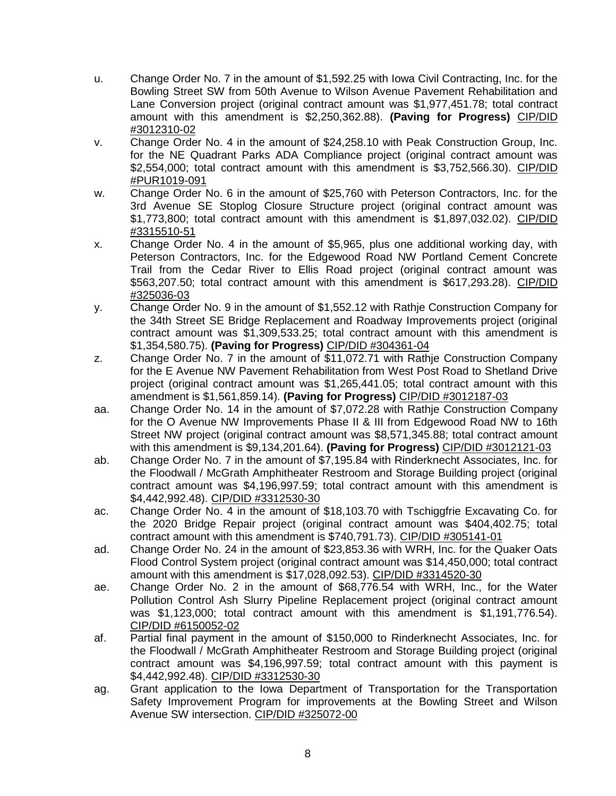- u. Change Order No. 7 in the amount of \$1,592.25 with Iowa Civil Contracting, Inc. for the Bowling Street SW from 50th Avenue to Wilson Avenue Pavement Rehabilitation and Lane Conversion project (original contract amount was \$1,977,451.78; total contract amount with this amendment is \$2,250,362.88). **(Paving for Progress)** CIP/DID #3012310-02
- v. Change Order No. 4 in the amount of \$24,258.10 with Peak Construction Group, Inc. for the NE Quadrant Parks ADA Compliance project (original contract amount was \$2,554,000; total contract amount with this amendment is \$3,752,566.30). CIP/DID #PUR1019-091
- w. Change Order No. 6 in the amount of \$25,760 with Peterson Contractors, Inc. for the 3rd Avenue SE Stoplog Closure Structure project (original contract amount was \$1,773,800; total contract amount with this amendment is \$1,897,032.02). CIP/DID #3315510-51
- x. Change Order No. 4 in the amount of \$5,965, plus one additional working day, with Peterson Contractors, Inc. for the Edgewood Road NW Portland Cement Concrete Trail from the Cedar River to Ellis Road project (original contract amount was \$563,207.50; total contract amount with this amendment is \$617,293.28). CIP/DID #325036-03
- y. Change Order No. 9 in the amount of \$1,552.12 with Rathje Construction Company for the 34th Street SE Bridge Replacement and Roadway Improvements project (original contract amount was \$1,309,533.25; total contract amount with this amendment is \$1,354,580.75). **(Paving for Progress)** CIP/DID #304361-04
- z. Change Order No. 7 in the amount of \$11,072.71 with Rathje Construction Company for the E Avenue NW Pavement Rehabilitation from West Post Road to Shetland Drive project (original contract amount was \$1,265,441.05; total contract amount with this amendment is \$1,561,859.14). **(Paving for Progress)** CIP/DID #3012187-03
- aa. Change Order No. 14 in the amount of \$7,072.28 with Rathje Construction Company for the O Avenue NW Improvements Phase II & III from Edgewood Road NW to 16th Street NW project (original contract amount was \$8,571,345.88; total contract amount with this amendment is \$9,134,201.64). **(Paving for Progress)** CIP/DID #3012121-03
- ab. Change Order No. 7 in the amount of \$7,195.84 with Rinderknecht Associates, Inc. for the Floodwall / McGrath Amphitheater Restroom and Storage Building project (original contract amount was \$4,196,997.59; total contract amount with this amendment is \$4,442,992.48). CIP/DID #3312530-30
- ac. Change Order No. 4 in the amount of \$18,103.70 with Tschiggfrie Excavating Co. for the 2020 Bridge Repair project (original contract amount was \$404,402.75; total contract amount with this amendment is \$740,791.73). CIP/DID #305141-01
- ad. Change Order No. 24 in the amount of \$23,853.36 with WRH, Inc. for the Quaker Oats Flood Control System project (original contract amount was \$14,450,000; total contract amount with this amendment is \$17,028,092.53). CIP/DID #3314520-30
- ae. Change Order No. 2 in the amount of \$68,776.54 with WRH, Inc., for the Water Pollution Control Ash Slurry Pipeline Replacement project (original contract amount was \$1,123,000; total contract amount with this amendment is \$1,191,776.54). CIP/DID #6150052-02
- af. Partial final payment in the amount of \$150,000 to Rinderknecht Associates, Inc. for the Floodwall / McGrath Amphitheater Restroom and Storage Building project (original contract amount was \$4,196,997.59; total contract amount with this payment is \$4,442,992.48). CIP/DID #3312530-30
- ag. Grant application to the Iowa Department of Transportation for the Transportation Safety Improvement Program for improvements at the Bowling Street and Wilson Avenue SW intersection. CIP/DID #325072-00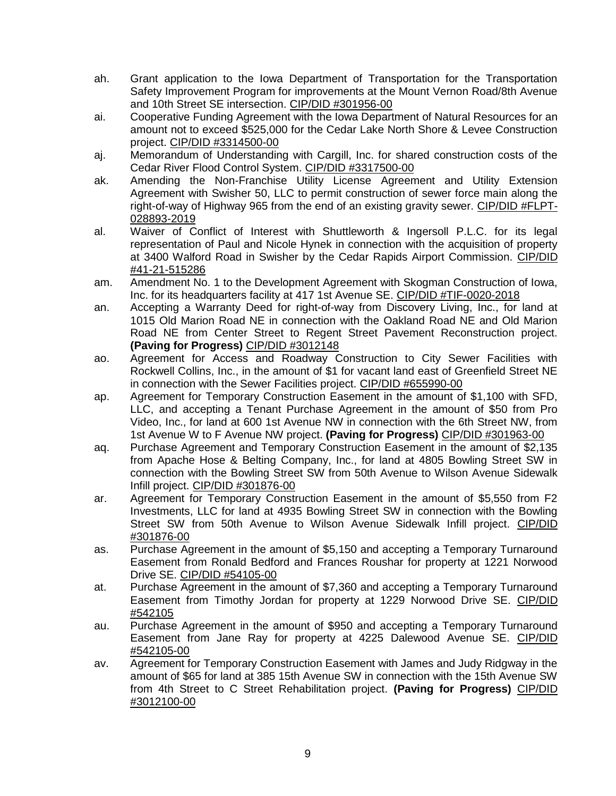- ah. Grant application to the Iowa Department of Transportation for the Transportation Safety Improvement Program for improvements at the Mount Vernon Road/8th Avenue and 10th Street SE intersection. CIP/DID #301956-00
- ai. Cooperative Funding Agreement with the Iowa Department of Natural Resources for an amount not to exceed \$525,000 for the Cedar Lake North Shore & Levee Construction project. CIP/DID #3314500-00
- aj. Memorandum of Understanding with Cargill, Inc. for shared construction costs of the Cedar River Flood Control System. CIP/DID #3317500-00
- ak. Amending the Non-Franchise Utility License Agreement and Utility Extension Agreement with Swisher 50, LLC to permit construction of sewer force main along the right-of-way of Highway 965 from the end of an existing gravity sewer. CIP/DID #FLPT-028893-2019
- al. Waiver of Conflict of Interest with Shuttleworth & Ingersoll P.L.C. for its legal representation of Paul and Nicole Hynek in connection with the acquisition of property at 3400 Walford Road in Swisher by the Cedar Rapids Airport Commission. CIP/DID #41-21-515286
- am. Amendment No. 1 to the Development Agreement with Skogman Construction of Iowa, Inc. for its headquarters facility at 417 1st Avenue SE. CIP/DID #TIF-0020-2018
- an. Accepting a Warranty Deed for right-of-way from Discovery Living, Inc., for land at 1015 Old Marion Road NE in connection with the Oakland Road NE and Old Marion Road NE from Center Street to Regent Street Pavement Reconstruction project. **(Paving for Progress)** CIP/DID #3012148
- ao. Agreement for Access and Roadway Construction to City Sewer Facilities with Rockwell Collins, Inc., in the amount of \$1 for vacant land east of Greenfield Street NE in connection with the Sewer Facilities project. CIP/DID #655990-00
- ap. Agreement for Temporary Construction Easement in the amount of \$1,100 with SFD, LLC, and accepting a Tenant Purchase Agreement in the amount of \$50 from Pro Video, Inc., for land at 600 1st Avenue NW in connection with the 6th Street NW, from 1st Avenue W to F Avenue NW project. **(Paving for Progress)** CIP/DID #301963-00
- aq. Purchase Agreement and Temporary Construction Easement in the amount of \$2,135 from Apache Hose & Belting Company, Inc., for land at 4805 Bowling Street SW in connection with the Bowling Street SW from 50th Avenue to Wilson Avenue Sidewalk Infill project. CIP/DID #301876-00
- ar. Agreement for Temporary Construction Easement in the amount of \$5,550 from F2 Investments, LLC for land at 4935 Bowling Street SW in connection with the Bowling Street SW from 50th Avenue to Wilson Avenue Sidewalk Infill project. CIP/DID #301876-00
- as. Purchase Agreement in the amount of \$5,150 and accepting a Temporary Turnaround Easement from Ronald Bedford and Frances Roushar for property at 1221 Norwood Drive SE. CIP/DID #54105-00
- at. Purchase Agreement in the amount of \$7,360 and accepting a Temporary Turnaround Easement from Timothy Jordan for property at 1229 Norwood Drive SE. CIP/DID #542105
- au. Purchase Agreement in the amount of \$950 and accepting a Temporary Turnaround Easement from Jane Ray for property at 4225 Dalewood Avenue SE. CIP/DID #542105-00
- av. Agreement for Temporary Construction Easement with James and Judy Ridgway in the amount of \$65 for land at 385 15th Avenue SW in connection with the 15th Avenue SW from 4th Street to C Street Rehabilitation project. **(Paving for Progress)** CIP/DID #3012100-00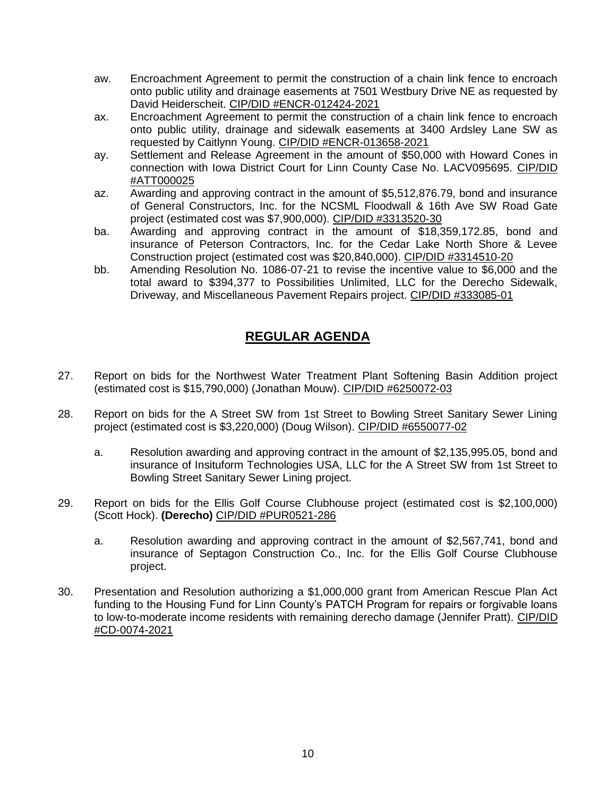- aw. Encroachment Agreement to permit the construction of a chain link fence to encroach onto public utility and drainage easements at 7501 Westbury Drive NE as requested by David Heiderscheit. CIP/DID #ENCR-012424-2021
- ax. Encroachment Agreement to permit the construction of a chain link fence to encroach onto public utility, drainage and sidewalk easements at 3400 Ardsley Lane SW as requested by Caitlynn Young. CIP/DID #ENCR-013658-2021
- ay. Settlement and Release Agreement in the amount of \$50,000 with Howard Cones in connection with Iowa District Court for Linn County Case No. LACV095695. CIP/DID #ATT000025
- az. Awarding and approving contract in the amount of \$5,512,876.79, bond and insurance of General Constructors, Inc. for the NCSML Floodwall & 16th Ave SW Road Gate project (estimated cost was \$7,900,000). CIP/DID #3313520-30
- ba. Awarding and approving contract in the amount of \$18,359,172.85, bond and insurance of Peterson Contractors, Inc. for the Cedar Lake North Shore & Levee Construction project (estimated cost was \$20,840,000). CIP/DID #3314510-20
- bb. Amending Resolution No. 1086-07-21 to revise the incentive value to \$6,000 and the total award to \$394,377 to Possibilities Unlimited, LLC for the Derecho Sidewalk, Driveway, and Miscellaneous Pavement Repairs project. CIP/DID #333085-01

## **REGULAR AGENDA**

- 27. Report on bids for the Northwest Water Treatment Plant Softening Basin Addition project (estimated cost is \$15,790,000) (Jonathan Mouw). CIP/DID #6250072-03
- 28. Report on bids for the A Street SW from 1st Street to Bowling Street Sanitary Sewer Lining project (estimated cost is \$3,220,000) (Doug Wilson). CIP/DID #6550077-02
	- a. Resolution awarding and approving contract in the amount of \$2,135,995.05, bond and insurance of Insituform Technologies USA, LLC for the A Street SW from 1st Street to Bowling Street Sanitary Sewer Lining project.
- 29. Report on bids for the Ellis Golf Course Clubhouse project (estimated cost is \$2,100,000) (Scott Hock). **(Derecho)** CIP/DID #PUR0521-286
	- a. Resolution awarding and approving contract in the amount of \$2,567,741, bond and insurance of Septagon Construction Co., Inc. for the Ellis Golf Course Clubhouse project.
- 30. Presentation and Resolution authorizing a \$1,000,000 grant from American Rescue Plan Act funding to the Housing Fund for Linn County's PATCH Program for repairs or forgivable loans to low-to-moderate income residents with remaining derecho damage (Jennifer Pratt). CIP/DID #CD-0074-2021